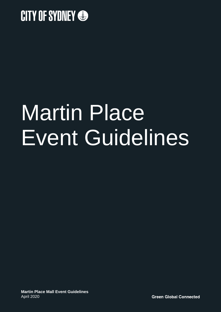

# Martin Place Event Guidelines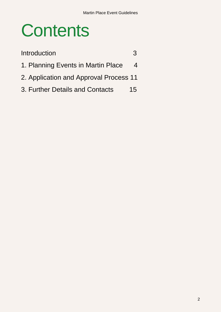## **Contents**

| Introduction                           | 3  |
|----------------------------------------|----|
| 1. Planning Events in Martin Place     |    |
| 2. Application and Approval Process 11 |    |
| 3. Further Details and Contacts        | 15 |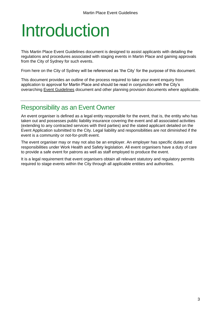## <span id="page-2-0"></span>Introduction

This Martin Place Event Guidelines document is designed to assist applicants with detailing the regulations and procedures associated with staging events in Martin Place and gaining approvals from the City of Sydney for such events.

From here on the City of Sydney will be referenced as 'the City' for the purpose of this document.

This document provides an outline of the process required to take your event enquiry from application to approval for Martin Place and should be read in conjunction with the City's overarching [Event Guidelines](https://www.cityofsydney.nsw.gov.au/__data/assets/pdf_file/0003/235830/Event-Guidelines-February-2018.pdf) document and other planning provision documents where applicable.

### Responsibility as an Event Owner

An event organiser is defined as a legal entity responsible for the event, that is, the entity who has taken out and possesses public liability insurance covering the event and all associated activities (extending to any contracted services with third parties) and the stated applicant detailed on the Event Application submitted to the City. Legal liability and responsibilities are not diminished if the event is a community or not-for-profit event.

The event organiser may or may not also be an employer. An employer has specific duties and responsibilities under Work Health and Safety legislation. All event organisers have a duty of care to provide a safe event for patrons as well as staff employed to produce the event.

It is a legal requirement that event organisers obtain all relevant statutory and regulatory permits required to stage events within the City through all applicable entities and authorities.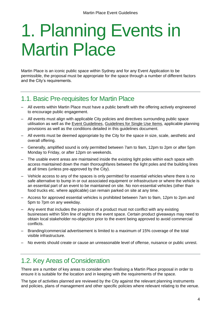## <span id="page-3-0"></span>1. Planning Events in Martin Place

Martin Place is an iconic public space within Sydney and for any Event Application to be permissible, the proposal must be appropriate for the space through a number of different factors and the City's requirements.

## 1.1. Basic Pre-requisites for Martin Place

- All events within Martin Place must have a public benefit with the offering actively engineered to encourage public engagement.
- All events must align with applicable City policies and directives surrounding public space utilisation as well as the [Event Guidelines,](https://www.cityofsydney.nsw.gov.au/__data/assets/pdf_file/0003/235830/Event-Guidelines-February-2018.pdf) [Guidelines for Single Use Items,](https://www.cityofsydney.nsw.gov.au/__data/assets/pdf_file/0020/313175/Reducing-waste-from-events-and-services_Guidelines-for-single-use-items.pdfhttps:/www.cityofsydney.nsw.gov.au/__data/assets/pdf_file/0020/313175/Reducing-waste-from-events-and-services_Guidelines-for-single-use-items.pdf) applicable planning provisions as well as the conditions detailed in this guidelines document.
- All events must be deemed appropriate by the City for the space in size, scale, aesthetic and overall offering.
- Generally, amplified sound is only permitted between 7am to 9am, 12pm to 2pm or after 5pm Monday to Friday, or after 12pm on weekends.
- The usable event areas are maintained inside the existing light poles within each space with access maintained down the main thoroughfares between the light poles and the building lines at all times (unless pre-approved by the City).
- Vehicle access to any of the spaces is only permitted for essential vehicles where there is no safe alternative to bump in or out associated equipment or infrastructure or where the vehicle is an essential part of an event to be maintained on site. No non-essential vehicles (other than food trucks etc. where applicable) can remain parked on site at any time.
- Access for approved essential vehicles is prohibited between 7am to 9am, 12pm to 2pm and 5pm to 7pm on any weekday.
- Any event that includes the provision of a product must not conflict with any existing businesses within 50m line of sight to the event space. Certain product giveaways may need to obtain local stakeholder no-objection prior to the event being approved to avoid commercial conflicts.
- Branding/commercial advertisement is limited to a maximum of 15% coverage of the total visible infrastructure.
- No events should create or cause an unreasonable level of offense, nuisance or public unrest.

## 1.2. Key Areas of Consideration

There are a number of key areas to consider when finalising a Martin Place proposal in order to ensure it is suitable for the location and in keeping with the requirements of the space.

The type of activities planned are reviewed by the City against the relevant planning instruments and policies, plans of management and other specific policies where relevant relating to the venue.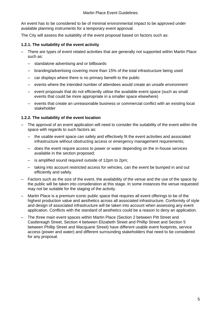An event has to be considered to be of minimal environmental impact to be approved under available planning instruments for a temporary event approval.

The City will assess the suitability of the event proposal based on factors such as:

#### **1.2.1. The suitability of the event activity**

- There are types of event related activities that are generally not supported within Martin Place such as:
	- standalone advertising and or billboards
	- branding/advertising covering more than 15% of the total infrastructure being used
	- car displays where there is no primary benefit to the public
	- events where the intended number of attendees would create an unsafe environment
	- event proposals that do not efficiently utilise the available event space (such as small events that could be more appropriate in a smaller space elsewhere)
	- events that create an unreasonable business or commercial conflict with an existing local stakeholder

#### **1.2.2. The suitability of the event location**

- The approval of an event application will need to consider the suitability of the event within the space with regards to such factors as:
	- the usable event space can safely and effectively fit the event activities and associated infrastructure without obstructing access or emergency management requirements;
	- does the event require access to power or water depending on the in-house services available in the section proposed;
	- is amplified sound required outside of 12pm to 2pm;
	- taking into account restricted access for vehicles, can the event be bumped in and out efficiently and safely.
- Factors such as the size of the event, the availability of the venue and the use of the space by the public will be taken into consideration at this stage. In some instances the venue requested may not be suitable for the staging of the activity.
- Martin Place is a premium iconic public space that requires all event offerings to be of the highest production value and aesthetics across all associated infrastructure. Conformity of style and design of associated infrastructure will be taken into account when assessing any event application. Conflicts with the standard of aesthetics could be a reason to deny an application.
- The three main event spaces within Martin Place (Section 2 between Pitt Street and Castlereagh Street, Section 4 between Elizabeth Street and Phillip Street and Section 5 between Phillip Street and Macquarie Street) have different usable event footprints, service access (power and water) and different surrounding stakeholders that need to be considered for any proposal.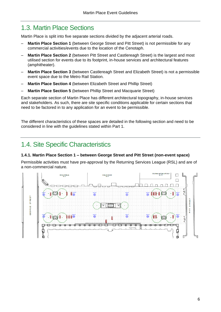## 1.3. Martin Place Sections

Martin Place is split into five separate sections divided by the adjacent arterial roads.

- **Martin Place Section 1** (between George Street and Pitt Street) is not permissible for any commercial activities/events due to the location of the Cenotaph.
- **Martin Place Section 2** (between Pitt Street and Castlereagh Street) is the largest and most utilised section for events due to its footprint, in-house services and architectural features (amphitheater).
- **Martin Place Section 3** (between Castlereagh Street and Elizabeth Street) is not a permissible event space due to the Metro Rail Station.
- **Martin Place Section 4** (between Elizabeth Street and Phillip Street)
- **Martin Place Section 5** (between Phillip Street and Macquarie Street)

Each separate section of Martin Place has different architectural topography, in-house services and stakeholders. As such, there are site specific conditions applicable for certain sections that need to be factored in to any application for an event to be permissible.

The different characteristics of these spaces are detailed in the following section and need to be considered in line with the guidelines stated within Part 1.

## 1.4. Site Specific Characteristics

#### **1.4.1. Martin Place Section 1 – between George Street and Pitt Street (non-event space)**

Permissible activities must have pre-approval by the Returning Services League (RSL) and are of a non-commercial nature.

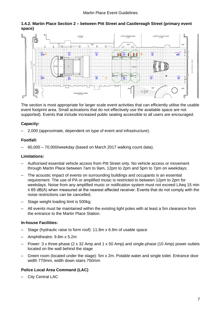



The section is most appropriate for larger scale event activities that can efficiently utilise the usable event footprint area. Small activations that do not effectively use the available space are not supported). Events that include increased public seating accessible to all users are encouraged.

#### **Capacity:**

– 2,000 (approximate, dependent on type of event and infrastructure).

#### **Footfall:**

– 60,000 – 70,000/weekday (based on March 2017 walking count data).

#### **Limitations:**

- Authorised essential vehicle access from Pitt Street only. No vehicle access or movement through Martin Place between 7am to 9am, 12pm to 2pm and 5pm to 7pm on weekdays;
- The acoustic impact of events on surrounding buildings and occupants is an essential requirement. The use of PA or amplified music is restricted to between 12pm to 2pm for weekdays. Noise from any amplified music or notification system must not exceed LAeq 15 min ≤ 65 dB(A) when measured at the nearest affected receiver. Events that do not comply with the noise restrictions can be cancelled;
- Stage weight loading limit is 500kg;
- All events must be maintained within the existing light poles with at least a 5m clearance from the entrance to the Martin Place Station.

#### **In-house Facilities:**

- Stage (hydraulic raise to form roof): 11.8m x 6.9m of usable space
- Amphitheatre: 9.8m x 5.2m
- Power: 3 x three-phase (2 x 32 Amp and 1 x 50 Amp) and single-phase (10 Amp) power outlets located on the wall behind the stage
- Green room (located under the stage): 5m x 2m. Potable water and single toilet. Entrance door width 770mm, width down stairs 750mm

#### **Police Local Area Command (LAC)**

City Central LAC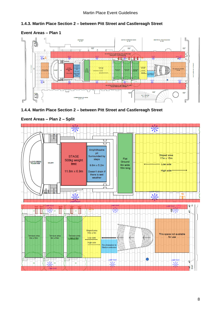#### **1.4.3. Martin Place Section 2 – between Pitt Street and Castlereagh Street**



#### **Event Areas – Plan 1**





**Event Areas – Plan 2 – Split**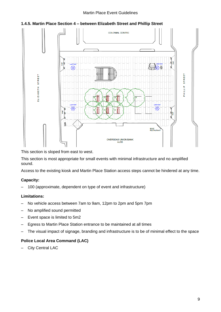#### Martin Place Event Guidelines



#### **1.4.5. Martin Place Section 4 – between Elizabeth Street and Phillip Street**

This section is sloped from east to west.

This section is most appropriate for small events with minimal infrastructure and no amplified sound.

Access to the existing kiosk and Martin Place Station access steps cannot be hindered at any time.

#### **Capacity:**

– 100 (approximate, dependent on type of event and infrastructure)

#### **Limitations:**

- No vehicle access between 7am to 9am, 12pm to 2pm and 5pm 7pm
- No amplified sound permitted
- Event space is limited to 5m2
- Egress to Martin Place Station entrance to be maintained at all times
- The visual impact of signage, branding and infrastructure is to be of minimal effect to the space

#### **Police Local Area Command (LAC)**

– City Central LAC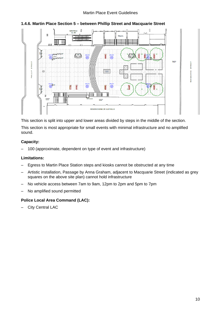#### Martin Place Event Guidelines



#### **1.4.6. Martin Place Section 5 – between Phillip Street and Macquarie Street**

This section is split into upper and lower areas divided by steps in the middle of the section.

This section is most appropriate for small events with minimal infrastructure and no amplified sound.

#### **Capacity:**

– 100 (approximate, dependent on type of event and infrastructure)

#### **Limitations:**

- Egress to Martin Place Station steps and kiosks cannot be obstructed at any time
- Artistic installation, Passage by Anna Graham, adjacent to Macquarie Street (indicated as grey squares on the above site plan) cannot hold infrastructure
- No vehicle access between 7am to 9am, 12pm to 2pm and 5pm to 7pm
- No amplified sound permitted

#### **Police Local Area Command (LAC):**

– City Central LAC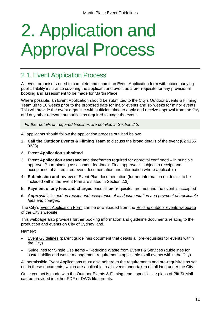## <span id="page-10-0"></span>2. Application and Approval Process

## 2.1. Event Application Process

All event organisers need to complete and submit an Event Application form with accompanying public liability insurance covering the applicant and event as a pre-requisite for any provisional booking and assessment to be made for Martin Place.

Where possible, an Event Application should be submitted to the City's Outdoor Events & Filming Team up to 16 weeks prior to the proposed date for major events and six weeks for minor events. This will provide the event organiser with sufficient time to apply and receive approval from the City and any other relevant authorities as required to stage the event.

*Further details on required timelines are detailed in Section 2.2.*

All applicants should follow the application process outlined below:

- 1. **Call the Outdoor Events & Filming Team** to discuss the broad details of the event (02 9265 9333)
- **2. Event Application submitted**
- 3. **Event Application assessed** and timeframes required for approval confirmed in principle approval (\*non-binding assessment feedback. Final approval is subject to receipt and acceptance of all required event documentation and information where applicable)
- 4. **Submission and review** of Event Plan documentation (further information on details to be included within the Event Plan are stated in Section 2.3)
- 5. **Payment of any fees and charges** once all pre-requisites are met and the event is accepted
- *6. Approval is issued on receipt and acceptance of all documentation and payment of applicable fees and charges.*

The City's [Event Application Form](https://www.cityofsydney.nsw.gov.au/__data/assets/pdf_file/0018/128124/Event-Application.pdf) can be downloaded from the [Holding outdoor events webpage](https://www.cityofsydney.nsw.gov.au/business/doing-business-with-us/regulations/holding-outdoor-events) of the City's website.

This webpage also provides further booking information and guideline documents relating to the production and events on City of Sydney land.

Namely:

- [Event Guidelines](https://www.cityofsydney.nsw.gov.au/__data/assets/pdf_file/0003/235830/Event-Guidelines-February-2018.pdf) (parent guidelines document that details all pre-requisites for events within the City)
- Guidelines for Single Use Items [Reducing Waste from Events & Services](https://www.cityofsydney.nsw.gov.au/__data/assets/pdf_file/0020/313175/Reducing-waste-from-events-and-services_Guidelines-for-single-use-items.pdf) (guidelines for sustainability and waste management requirements applicable to all events within the City)

All permissible Event Applications must also adhere to the requirements and pre-requisites as set out in these documents, which are applicable to all events undertaken on all land under the City.

Once contact is made with the Outdoor Events & Filming team, specific site plans of Pitt St Mall can be provided in either PDF or DWG file formats.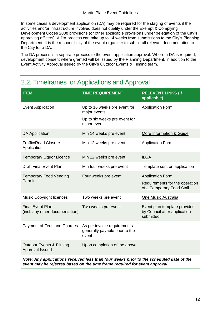In some cases a development application (DA) may be required for the staging of events if the activities and/or infrastructure involved does not qualify under the Exempt & Complying Development Codes 2008 provisions (or other applicable provisions under delegation of the City's approving officers). A DA process can take up to 14 weeks from submissions to the City's Planning Department. It is the responsibility of the event organiser to submit all relevant documentation to the City for a DA.

The DA process is a separate process to the event application approval. Where a DA is required, development consent where granted will be issued by the Planning Department, in addition to the Event Activity Approval issued by the City's Outdoor Events & Filming team.

| <b>ITEM</b>                                                | <b>TIME REQUIREMENT</b>                                                                       | <b>RELEVENT LINKS (if</b><br>applicable)                                               |
|------------------------------------------------------------|-----------------------------------------------------------------------------------------------|----------------------------------------------------------------------------------------|
| <b>Event Application</b>                                   | Up to 16 weeks pre event for<br>major events<br>Up to six weeks pre event for<br>minor events | <b>Application Form</b>                                                                |
| <b>DA Application</b>                                      | Min 14 weeks pre event                                                                        | More Information & Guide                                                               |
| <b>Traffic/Road Closure</b><br>Application                 | Min 12 weeks pre event                                                                        | <b>Application Form</b>                                                                |
| <b>Temporary Liquor Licence</b>                            | Min 12 weeks pre event                                                                        | <b>ILGA</b>                                                                            |
| <b>Draft Final Event Plan</b>                              | Min four weeks pre event                                                                      | Template sent on application                                                           |
| <b>Temporary Food Vending</b><br>Permit                    | Four weeks pre event                                                                          | <b>Application Form</b><br>Requirements for the operation<br>of a Temporary Food Stall |
| <b>Music Copyright licences</b>                            | Two weeks pre event                                                                           | <b>One Music Australia</b>                                                             |
| <b>Final Event Plan</b><br>(incl. any other documentation) | Two weeks pre event                                                                           | Event plan template provided<br>by Council after application<br>submitted              |
| Payment of Fees and Charges                                | As per invoice requirements -<br>generally payable prior to the<br>event                      |                                                                                        |
| <b>Outdoor Events &amp; Filming</b><br>Approval Issued     | Upon completion of the above                                                                  |                                                                                        |

## 2.2. Timeframes for Applications and Approval

*Note: Any applications received less than four weeks prior to the scheduled date of the event may be rejected based on the time frame required for event approval.*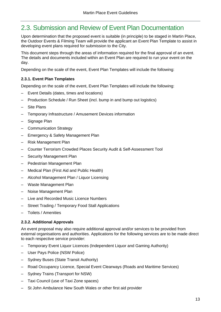## 2.3. Submission and Review of Event Plan Documentation

Upon determination that the proposed event is suitable (in principle) to be staged in Martin Place, the Outdoor Events & Filming Team will provide the applicant an Event Plan Template to assist in developing event plans required for submission to the City.

This document steps through the areas of information required for the final approval of an event. The details and documents included within an Event Plan are required to run your event on the day.

Depending on the scale of the event, Event Plan Templates will include the following:

#### **2.3.1. Event Plan Templates**

Depending on the scale of the event, Event Plan Templates will include the following:

- Event Details (dates, times and locations)
- Production Schedule / Run Sheet (incl. bump in and bump out logistics)
- Site Plans
- Temporary Infrastructure / Amusement Devices information
- Signage Plan
- Communication Strategy
- Emergency & Safety Management Plan
- Risk Management Plan
- Counter Terrorism Crowded Places Security Audit & Self-Assessment Tool
- Security Management Plan
- Pedestrian Management Plan
- Medical Plan (First Aid and Public Health)
- Alcohol Management Plan / Liquor Licensing
- Waste Management Plan
- Noise Management Plan
- Live and Recorded Music Licence Numbers
- Street Trading / Temporary Food Stall Applications
- Toilets / Amenities

#### **2.3.2. Additional Approvals**

An event proposal may also require additional approval and/or services to be provided from external organisations and authorities. Applications for the following services are to be made direct to each respective service provider:

- Temporary Event Liquor Licences (Independent Liquor and Gaming Authority)
- User Pays Police (NSW Police)
- Sydney Buses (State Transit Authority)
- Road Occupancy Licence, Special Event Clearways (Roads and Maritime Services)
- Sydney Trains (Transport for NSW)
- Taxi Council (use of Taxi Zone spaces)
- St John Ambulance New South Wales or other first aid provider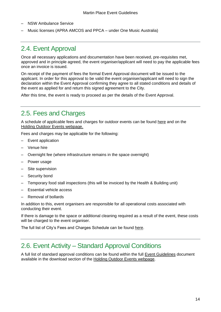- NSW Ambulance Service
- Music licenses (APRA AMCOS and PPCA under One Music Australia)

## 2.4. Event Approval

Once all necessary applications and documentation have been received, pre-requisites met, approved and in principle agreed, the event organiser/applicant will need to pay the applicable fees once an invoice is issued.

On receipt of the payment of fees the formal Event Approval document will be issued to the applicant. In order for this approval to be valid the event organiser/applicant will need to sign the declaration within the Event Approval confirming they agree to all stated conditions and details of the event as applied for and return this signed agreement to the City.

After this time, the event is ready to proceed as per the details of the Event Approval.

### 2.5. Fees and Charges

A schedule of applicable fees and charges for outdoor events can be found [here](https://www.cityofsydney.nsw.gov.au/business/doing-business-with-us/regulations/holding-outdoor-events/fees-charges-outdoor-venue-hire) and on the [Holding Outdoor Events webpage.](https://www.cityofsydney.nsw.gov.au/business/doing-business-with-us/regulations/holding-outdoor-events/fees-charges-outdoor-venue-hire)

Fees and charges may be applicable for the following:

- Event application
- Venue hire
- Overnight fee (where infrastructure remains in the space overnight)
- Power usage
- Site supervision
- Security bond
- Temporary food stall inspections (this will be invoiced by the Health & Building unit)
- Essential vehicle access
- Removal of bollards

In addition to this, event organisers are responsible for all operational costs associated with conducting their event.

If there is damage to the space or additional cleaning required as a result of the event, these costs will be charged to the event organiser.

The full list of City's Fees and Charges Schedule can be found [here.](http://www.cityofsydney.nsw.gov.au/council/our-responsibilities/fees-and-charges)

### 2.6. Event Activity – Standard Approval Conditions

A full list of standard approval conditions can be found within the full [Event Guidelines](https://www.cityofsydney.nsw.gov.au/__data/assets/pdf_file/0003/235830/Event-Guidelines-February-2018.pdfhttps:/www.cityofsydney.nsw.gov.au/__data/assets/pdf_file/0003/235830/Event-Guidelines-February-2018.pdf) document available in the download section of the [Holding Outdoor Events webpage.](https://www.cityofsydney.nsw.gov.au/business/doing-business-with-us/regulations/holding-outdoor-events/fees-charges-outdoor-venue-hire)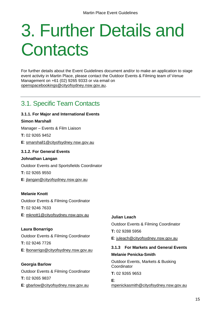## <span id="page-14-0"></span>3. Further Details and **Contacts**

For further details about the Event Guidelines document and/or to make an application to stage event activity in Martin Place, please contact the Outdoor Events & Filming team of Venue Management on +61 (02) 9265 9333 or via email on [openspacebookings@cityofsydney.nsw.gov.au.](mailto:openspacebookings@cityofsydney.nsw.gov.au)

## 3.1. Specific Team Contacts

## **3.1.1. For Major and International Events Simon Marshall** Manager – Events & Film Liaison **T:** 02 9265 9452 **E**: [smarshall1@cityofsydney.nsw.gov.au](mailto:smarshall1@cityofsydney.nsw.gov.au) **3.1.2. For General Events Johnathan Langan** Outdoor Events and Sportsfields Coordinator **T:** 02 9265 9550 **E**: [jlangan@cityofsydney.nsw.gov.au](mailto:jlangan@cityofsydney.nsw.gov.au)

**Melanie Knott** Outdoor Events & Filming Coordinator **T:** 02 9246 7633 **E**: [mknott1@cityofsydney.nsw.gov.au](mailto:mknott1@cityofsydney.nsw.gov.au)

**Laura Bonarrigo** Outdoor Events & Filming Coordinator **T:** 02 9246 7726 **E**: [lbonarrigo@cityofsydney.nsw.gov.au](mailto:lbonarrigo@cityofsydney.nsw.gov.au)

**Georgia Barlow** Outdoor Events & Filming Coordinator **T:** 02 9265 9837 **E**: [gbarlow@cityofsydney.nsw.gov.au](mailto:gbarlow@cityofsydney.nsw.gov.au)

#### **Julian Leach**

Outdoor Events & Filming Coordinator

**T:** 02 9288 5956

**E**: [juleach@cityofsydney.nsw.gov.au](mailto:juleach@cityofsydney.nsw.gov.au)

#### **3.1.3 For Markets and General Events Melanie Penicka-Smith**

Outdoor Events, Markets & Busking Coordinator

**T:** 02 9265 9653

**E**: [mpenickasmith@cityofsydney.nsw.gov.au](mailto:mpenickasmith@cityofsydney.nsw.gov.au)